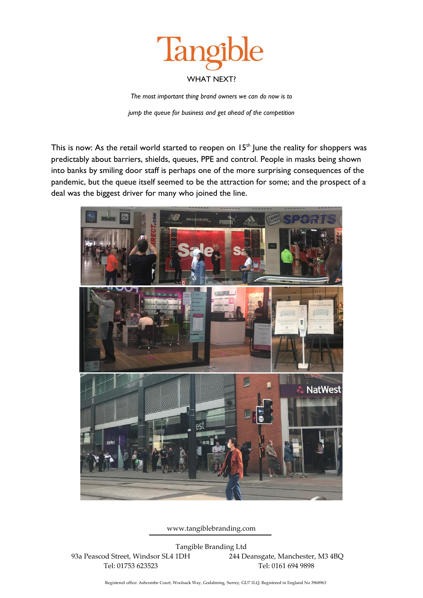

*The most important thing brand owners we can do now is to* 

*jump the queue for business and get ahead of the competition*

This is now: As the retail world started to reopen on  $15<sup>th</sup>$  June the reality for shoppers was predictably about barriers, shields, queues, PPE and control. People in masks being shown into banks by smiling door staff is perhaps one of the more surprising consequences of the pandemic, but the queue itself seemed to be the attraction for some; and the prospect of a deal was the biggest driver for many who joined the line.



www.tangiblebranding.com

Tangible Branding Ltd 93a Peascod Street, Windsor SL4 1DH 244 Deansgate, Manchester, M3 4BQ Tel: 01753 623523 Tel: 0161 694 9898

Registered office: Ashcombe Court, Woolsack Way, Godalming, Surrey, GU7 1LQ. Registered in England No 3968963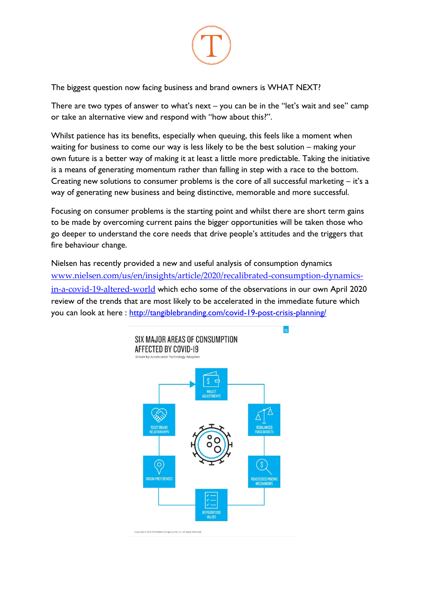

The biggest question now facing business and brand owners is WHAT NEXT?

There are two types of answer to what's next – you can be in the "let's wait and see" camp or take an alternative view and respond with "how about this?".

Whilst patience has its benefits, especially when queuing, this feels like a moment when waiting for business to come our way is less likely to be the best solution – making your own future is a better way of making it at least a little more predictable. Taking the initiative is a means of generating momentum rather than falling in step with a race to the bottom. Creating new solutions to consumer problems is the core of all successful marketing – it's a way of generating new business and being distinctive, memorable and more successful.

Focusing on consumer problems is the starting point and whilst there are short term gains to be made by overcoming current pains the bigger opportunities will be taken those who go deeper to understand the core needs that drive people's attitudes and the triggers that fire behaviour change.

Nielsen has recently provided a new and useful analysis of consumption dynamics [www.nielsen.com/us/en/insights/article/2020/recalibrated-consumption-dynamics](http://www.nielsen.com/us/en/insights/article/2020/recalibrated-consumption-dynamics-in-a-covid-19-altered-world)[in-a-covid-19-altered-world](http://www.nielsen.com/us/en/insights/article/2020/recalibrated-consumption-dynamics-in-a-covid-19-altered-world) which echo some of the observations in our own April 2020 review of the trends that are most likely to be accelerated in the immediate future which you can look at here :<http://tangiblebranding.com/covid-19-post-crisis-planning/>